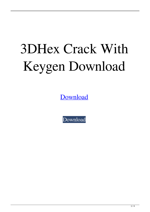# 3DHex Crack With Keygen Download

[Download](http://evacdir.com/patriarch/M0RIZXgM0R/recognises/augmenting/marianne/ZG93bmxvYWR8ZzJnTTI0eWZId3hOalUwTlRJeU1URXdmSHd5TlRjMGZId29UU2tnY21WaFpDMWliRzluSUZ0R1lYTjBJRWRGVGww...)

[Download](http://evacdir.com/patriarch/M0RIZXgM0R/recognises/augmenting/marianne/ZG93bmxvYWR8ZzJnTTI0eWZId3hOalUwTlRJeU1URXdmSHd5TlRjMGZId29UU2tnY21WaFpDMWliRzluSUZ0R1lYTjBJRWRGVGww...)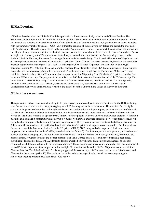### **3DHex Download**

- Windows Installer - Just install the MSI and the application will start automatically. - Steam and GitHub Bundle - The executable can be found in the bin subfolder of the application's folder. The Steam and GitHub bundles are the same. - Linux - Just unpack the contents of the archive and run. If you already have an installation of the tool, you can just run the executable with the parameter "make" to update.  $-$  OSX - Just extract the contents of the archive to any folder and launch the executable with "./3dhex.app". The settings are stored in the application's preferences. - Linux - Just extract the contents of the archive and run. If you already have an installation of the tool, you can just run the executable with the parameter "make" to update. This is a simple but very handy set of Python modules that allow you to send raw commands to the Arduino Mega board. Unlike Arduino's built-in libraries, this makes for a straightforward and clean code design. You'll need: -The Arduino Mega board with all the required connectors -Python and setuptools 3D print for 2.5mm filament has never been easier, thanks to the new Cube extruder upgrade from Makergear. You'll need: -A Makergear Cube extruder 3D printer - we are happy to take Paypal donations -2.5mm (0.1" / 2.5mm) PLA, ABS or other standard PLA filaments -Tested PLA filament dispenser -Extra support materials - see the Makergear Cube wiki -Regular drill -Needle nose pliers -Small drill bit The original Makergear T-Cube (click the photo to enlarge it) is a 2.5mm cube shaped spool holder for 3D printing. The T-Cube is a 3D printed part that fits inside the T-Extruder body. The purpose of this mod is to use T-Cube to store the filament instead of the T-Extruder tip. This saves time and hassle while printing. It also allows for the filament to be unloaded, stored and reloaded for future printing sessions. As the spool holder is 3D printed, its shape and dimensions vary between each print.Carrickmines Manor Carrickmines Manor was a manor house located to the east of St John's Church in the village of Harrow in the parish

### **3DHex Crack + Activator**

The application enables users to work with up to 10 printer configurations and packs various functions for the USB, including here fan and temperature control, stepper toggling, AutoPID, homing and toolhead movement. The user interface is highly customizable, you can select either dark mode, set the default configuration and input/outputs, and even the layout of the main UI. The main features are already in the application, but the developer can add more in the next releases. \* These are in the works, but the plan is to create an open source C library, so future plugins will be usable by a much wider audience. \* In time, I might be able to make it compatible with other OS's. \* Just so you know, I am aware that some devices support g-code, so we might be able to improve the firmware to support that eventually. This version of software contains the following features: 1) Added new Mecanum device, the Z-Gerbed board with a built-in 3D printer and stepper motors controller. The design allows the user to control the Mecanum device from the 3D printer GUI. 2) 3D Printing and other supported devices are now supported, the interface is capable of adding new devices in the future. 3) New features, such as debug/restart, infrared remote control, tool heads mapping, and the option to enable/disable the "temp b/c" feature. 4) A new graphic style, resolution, and color selection. 5) Option to toggle the stepper controllers of the Z-Gerbed board. 6) A number of bugs have been fixed, including: a) The required SBL or SLA filaments detection worked only when the filament was not changed. b) The axis position showed different values with different resolutions. 7) It now supports advanced configuration for the Sanguinolube, Gb-Ex and Polyextrem printer. 8) A simple menu for multiple file selection can be added. 9) The 3D printer to check real-time filament data. 10) The default selection for the target type and the control type. 11) The user now can set a default folder and filename for the export zip file. 12) The z axis can be calibrated via the target Z axis. 13) All the issues regarding the m6-stepper-toggling problem have been fixed. 77a5ca646e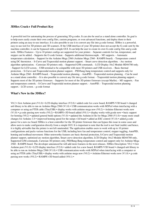# **3DHex Crack+ Full Product Key**

A powerful tool for automating the process of generating 3D-g-codes. It can also be used as a stand alone controller. Its goal is to help users easily create their own config files, custom programs, or even advanced functions, and deploy them to their printers using an easy-to-use interface. It is also possible to use it to convert any file into g-code format. 3DHex is a powerful, easy-to-use tool for 3D printers and 3D scanners. If the USB interface of your 3D printer does not accept the G-code sent by the machine controller, it can be bypassed with a simple GUI. It can help the user to create its own G-code config files and g-code tools. 3DHex Features: - Up to 10 printer configs are supported for your printer. - Separate controls for fan, temperature, and stepper can be added. - Supports the G-code format. - Supports additional thermocouple. - M3 supports. - Automatic temperature calculation. - Support for the Arduino Mega 2560 (Arduino Mega 2560 - RAMPS board). - Temperature control using DC thermistor. - S-Curve and Trapezoidal motion planner support. - Smart curve detection algorithm. - Arc motion algorithm optimization. - Cartesian 3D printers only. - Supported G/M commands. - LCD Display 16x2 Module HD44780 only. - Support for LCD screen. - USB terminal to be compatible with most 3D printers and USB receivers. - Basic thermal protection. - S-Curve and Trapezoidal motion planner support. - PID/bang-bang temperature control and supports only for Arduino Mega 2560 - RAMPS board. - Trapezoidal motion planning. - AutoPID. - Trapezoidal motion planning. - Can be used as a stand alone controller. - It is also possible to convert any file into g-code format. - Trapezoidal motion planning support. - Supports most of the 3D printer firmware. - Supports for most of the 3D printer firmware (except Marlin). - M3 supports. - Fan and temperature controls. - S-Curve and Trapezoidal motion planner support. - AutoPID. - Trapezoidal motion planning support. - LCD screen. - g-code format

## **What's New in the 3DHex?**

V0.2 • first Arduino port (V1.0) • LCD display interface (V2.0) • added code for a new board, RAMPS V3D board • changed usb library to be able to run on Arduino Mega 2560 (V1.0) • USB communication works with M5Perl when interfacing with a computer or using an FTDI cable (TinyUSB) • display works with arduino mega now (V0.2) • Arduino Ethernet works now (V1.0) • g-code parsing now works (V0.2) • RAMPS v3D board added (V0.1) • display works with gcode now • basic support for homing (V0.2) • updated general build options (V1.0) • updated the Arduino.h file for Mega 2560 (V1.0) • many more small changes for Arduino 1.0 • improved homing speed for the ramps v3d board • added an ESC control (V1.0) • added g-code parser for a new esc board 3DHex is a host controller for the 3D printer firmware that can bypass this issue in some cases and allow users to make configuration directly from a simple GUI. It is important to note that the tool is not final (stable) and hence, it is highly advisable that the printer is not left unattended. The application enables users to work with up to 10 printer configurations and packs various functions for the USB, including here fan and temperature control, stepper toggling, AutoPID, homing and toolhead movement. Other noteworthy features are basic thermal protection, S-Curve and Trapezoidal motion planner support, optimized arc motion algorithm, Smart curve detection algorithm, LCD Display 16x2 Module HD44780 only, Supported G/M commands, Cartesian 3D printers only, PID/Bang-Bang temperature control and support only for Arduino Mega 2560 - RAMPS board. The developer announced he will add more features in the next releases. 3DHex Description: V0.2 • first Arduino port (V1.0) • LCD display interface (V2.0) • added code for a new board, RAMPS V3D board • changed usb library to be able to run on Arduino Mega 2560 (V1.0) • USB communication works with M5Perl when interfacing with a computer or using an FTDI cable (TinyUSB) • display works with arduino mega now (V0.2) • Arduino Ethernet works now (V1.0) • g-code parsing now works  $(V0.2) \cdot$  RAMPS v3D board added  $(V0.1) \cdot$